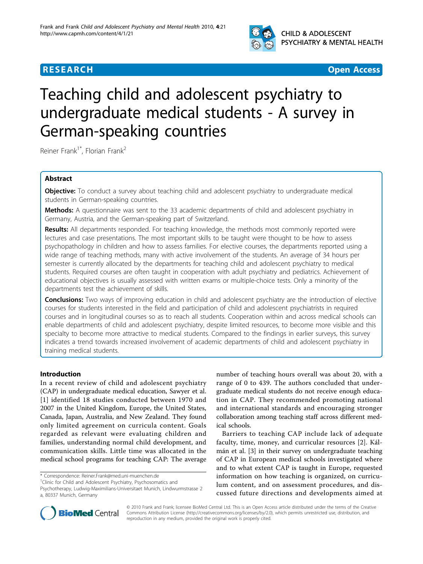

**RESEARCH CHRISTIAN CONSUMING CONTRACT CONSUMING CONSUMING CONSUMING CONSUMING CONSUMING CONSUMING CONSUMING CO** 

# Teaching child and adolescent psychiatry to undergraduate medical students - A survey in German-speaking countries

Reiner Frank<sup>1\*</sup>, Florian Frank<sup>2</sup>

# Abstract

Objective: To conduct a survey about teaching child and adolescent psychiatry to undergraduate medical students in German-speaking countries.

**Methods:** A questionnaire was sent to the 33 academic departments of child and adolescent psychiatry in Germany, Austria, and the German-speaking part of Switzerland.

Results: All departments responded. For teaching knowledge, the methods most commonly reported were lectures and case presentations. The most important skills to be taught were thought to be how to assess psychopathology in children and how to assess families. For elective courses, the departments reported using a wide range of teaching methods, many with active involvement of the students. An average of 34 hours per semester is currently allocated by the departments for teaching child and adolescent psychiatry to medical students. Required courses are often taught in cooperation with adult psychiatry and pediatrics. Achievement of educational objectives is usually assessed with written exams or multiple-choice tests. Only a minority of the departments test the achievement of skills.

Conclusions: Two ways of improving education in child and adolescent psychiatry are the introduction of elective courses for students interested in the field and participation of child and adolescent psychiatrists in required courses and in longitudinal courses so as to reach all students. Cooperation within and across medical schools can enable departments of child and adolescent psychiatry, despite limited resources, to become more visible and this specialty to become more attractive to medical students. Compared to the findings in earlier surveys, this survey indicates a trend towards increased involvement of academic departments of child and adolescent psychiatry in training medical students.

# Introduction

In a recent review of child and adolescent psychiatry (CAP) in undergraduate medical education, Sawyer et al. [[1](#page-7-0)] identified 18 studies conducted between 1970 and 2007 in the United Kingdom, Europe, the United States, Canada, Japan, Australia, and New Zealand. They found only limited agreement on curricula content. Goals regarded as relevant were evaluating children and families, understanding normal child development, and communication skills. Little time was allocated in the medical school programs for teaching CAP: The average

\* Correspondence: [Reiner.Frank@med.uni-muenchen.de](mailto:Reiner.Frank@med.uni-muenchen.de)

<sup>1</sup>Clinic for Child and Adolescent Psychiatry, Psychosomatics and

number of teaching hours overall was about 20, with a range of 0 to 439. The authors concluded that undergraduate medical students do not receive enough education in CAP. They recommended promoting national and international standards and encouraging stronger collaboration among teaching staff across different medical schools.

Barriers to teaching CAP include lack of adequate faculty, time, money, and curricular resources [[2](#page-7-0)]. Kálmán et al. [[3\]](#page-7-0) in their survey on undergraduate teaching of CAP in European medical schools investigated where and to what extent CAP is taught in Europe, requested information on how teaching is organized, on curriculum content, and on assessment procedures, and discussed future directions and developments aimed at



© 2010 Frank and Frank; licensee BioMed Central Ltd. This is an Open Access article distributed under the terms of the Creative Commons Attribution License [\(http://creativecommons.org/licenses/by/2.0](http://creativecommons.org/licenses/by/2.0)), which permits unrestricted use, distribution, and reproduction in any medium, provided the original work is properly cited.

Psychotherapy, Ludwig-Maximilians-Universitaet Munich, Lindwurmstrasse 2 a, 80337 Munich, Germany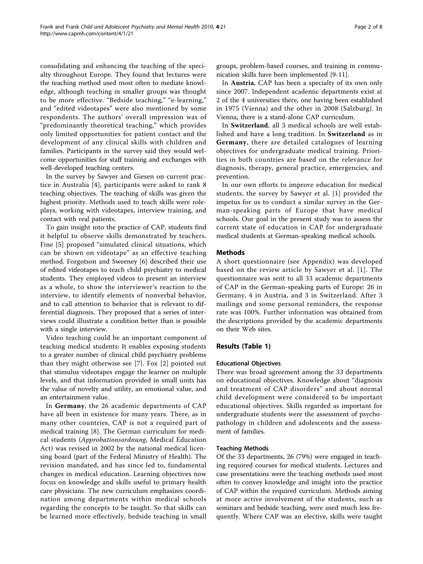consolidating and enhancing the teaching of the specialty throughout Europe. They found that lectures were the teaching method used most often to mediate knowledge, although teaching in smaller groups was thought to be more effective. "Bedside teaching," "e-learning," and "edited videotapes" were also mentioned by some respondents. The authors' overall impression was of "predominantly theoretical teaching," which provides only limited opportunities for patient contact and the development of any clinical skills with children and families. Participants in the survey said they would welcome opportunities for staff training and exchanges with well-developed teaching centers.

In the survey by Sawyer and Giesen on current practice in Australia [\[4\]](#page-7-0), participants were asked to rank 8 teaching objectives. The teaching of skills was given the highest priority. Methods used to teach skills were roleplays, working with videotapes, interview training, and contact with real patients.

To gain insight into the practice of CAP, students find it helpful to observe skills demonstrated by teachers. Fine [[5\]](#page-7-0) proposed "simulated clinical situations, which can be shown on videotape" as an effective teaching method. Forgotson and Sweeney [[6\]](#page-7-0) described their use of edited videotapes to teach child psychiatry to medical students. They employed videos to present an interview as a whole, to show the interviewer's reaction to the interview, to identify elements of nonverbal behavior, and to call attention to behavior that is relevant to differential diagnosis. They proposed that a series of interviews could illustrate a condition better than is possible with a single interview.

Video teaching could be an important component of teaching medical students: It enables exposing students to a greater number of clinical child psychiatry problems than they might otherwise see [[7\]](#page-7-0). Fox [[2](#page-7-0)] pointed out that stimulus videotapes engage the learner on multiple levels, and that information provided in small units has the value of novelty and utility, an emotional value, and an entertainment value.

In Germany, the 26 academic departments of CAP have all been in existence for many years. There, as in many other countries, CAP is not a required part of medical training [\[8](#page-7-0)]. The German curriculum for medical students (Approbationsordnung, Medical Education Act) was revised in 2002 by the national medical licensing board (part of the Federal Ministry of Health). The revision mandated, and has since led to, fundamental changes in medical education. Learning objectives now focus on knowledge and skills useful to primary health care physicians. The new curriculum emphasizes coordination among departments within medical schools regarding the concepts to be taught. So that skills can be learned more effectively, bedside teaching in small

groups, problem-based courses, and training in communication skills have been implemented [\[9](#page-7-0)-[11](#page-7-0)].

In Austria, CAP has been a specialty of its own only since 2007. Independent academic departments exist at 2 of the 4 universities there, one having been established in 1975 (Vienna) and the other in 2008 (Salzburg). In Vienna, there is a stand-alone CAP curriculum.

In Switzerland, all 3 medical schools are well established and have a long tradition. In Switzerland as in Germany, there are detailed catalogues of learning objectives for undergraduate medical training. Priorities in both countries are based on the relevance for diagnosis, therapy, general practice, emergencies, and prevention.

In our own efforts to improve education for medical students, the survey by Sawyer et al. [[1\]](#page-7-0) provided the impetus for us to conduct a similar survey in the German-speaking parts of Europe that have medical schools. Our goal in the present study was to assess the current state of education in CAP for undergraduate medical students at German-speaking medical schools.

# Methods

A short questionnaire (see Appendix) was developed based on the review article by Sawyer et al. [[1\]](#page-7-0). The questionnaire was sent to all 33 academic departments of CAP in the German-speaking parts of Europe: 26 in Germany, 4 in Austria, and 3 in Switzerland. After 3 mailings and some personal reminders, the response rate was 100%. Further information was obtained from the descriptions provided by the academic departments on their Web sites.

## Results (Table [1](#page-2-0))

#### Educational Objectives

There was broad agreement among the 33 departments on educational objectives. Knowledge about "diagnosis and treatment of CAP disorders" and about normal child development were considered to be important educational objectives. Skills regarded as important for undergraduate students were the assessment of psychopathology in children and adolescents and the assessment of families.

#### Teaching Methods

Of the 33 departments, 26 (79%) were engaged in teaching required courses for medical students. Lectures and case presentations were the teaching methods used most often to convey knowledge and insight into the practice of CAP within the required curriculum. Methods aiming at more active involvement of the students, such as seminars and bedside teaching, were used much less frequently. Where CAP was an elective, skills were taught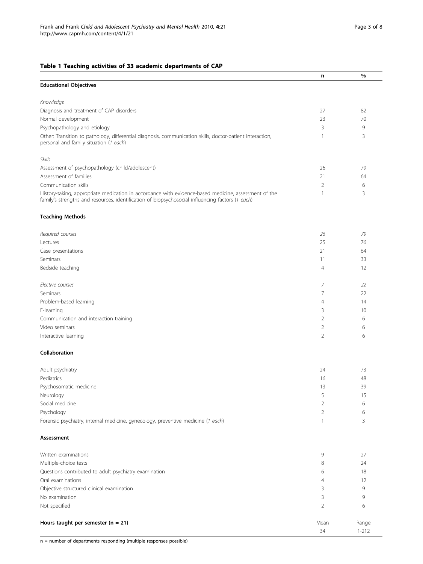n %

# <span id="page-2-0"></span>Table 1 Teaching activities of 33 academic departments of CAP

Educational Objectives

| Knowledge                                                                                                                                                                                                |                |           |
|----------------------------------------------------------------------------------------------------------------------------------------------------------------------------------------------------------|----------------|-----------|
| Diagnosis and treatment of CAP disorders                                                                                                                                                                 | 27             | 82        |
| Normal development                                                                                                                                                                                       | 23             | 70        |
| Psychopathology and etiology                                                                                                                                                                             | 3              | 9         |
| Other: Transition to pathology, differential diagnosis, communication skills, doctor-patient interaction,<br>personal and family situation (1 each)                                                      | $\mathbf{1}$   | 3         |
| Skills                                                                                                                                                                                                   |                |           |
| Assessment of psychopathology (child/adolescent)                                                                                                                                                         | 26             | 79        |
| Assessment of families                                                                                                                                                                                   | 21             | 64        |
| Communication skills                                                                                                                                                                                     | $\overline{2}$ | 6         |
| History-taking, appropriate medication in accordance with evidence-based medicine, assessment of the<br>family's strengths and resources, identification of biopsychosocial influencing factors (1 each) | 1              | 3         |
| <b>Teaching Methods</b>                                                                                                                                                                                  |                |           |
| Required courses                                                                                                                                                                                         | 26             | 79        |
| Lectures                                                                                                                                                                                                 | 25             | 76        |
| Case presentations                                                                                                                                                                                       | 21             | 64        |
| Seminars                                                                                                                                                                                                 | 11             | 33        |
| Bedside teaching                                                                                                                                                                                         | $\overline{4}$ | 12        |
| Elective courses                                                                                                                                                                                         | 7              | 22        |
| Seminars                                                                                                                                                                                                 | 7              | 22        |
| Problem-based learning                                                                                                                                                                                   | $\overline{4}$ | 14        |
| E-learning                                                                                                                                                                                               | 3              | 10        |
| Communication and interaction training                                                                                                                                                                   | 2              | 6         |
| Video seminars                                                                                                                                                                                           | 2              | 6         |
| Interactive learning                                                                                                                                                                                     | $\overline{2}$ | 6         |
| Collaboration                                                                                                                                                                                            |                |           |
| Adult psychiatry                                                                                                                                                                                         | 24             | 73        |
| Pediatrics                                                                                                                                                                                               | 16             | 48        |
| Psychosomatic medicine                                                                                                                                                                                   | 13             | 39        |
| Neurology                                                                                                                                                                                                | 5              | 15        |
| Social medicine                                                                                                                                                                                          | $\overline{2}$ | 6         |
| Psychology                                                                                                                                                                                               | 2              | 6         |
| Forensic psychiatry, internal medicine, gynecology, preventive medicine (1 each)                                                                                                                         | $\mathbf{1}$   | 3         |
| Assessment                                                                                                                                                                                               |                |           |
| Written examinations                                                                                                                                                                                     | 9              | 27        |
| Multiple-choice tests                                                                                                                                                                                    | 8              | 24        |
| Questions contributed to adult psychiatry examination                                                                                                                                                    | 6              | 18        |
| Oral examinations                                                                                                                                                                                        | $\overline{4}$ | 12        |
| Objective structured clinical examination                                                                                                                                                                | 3              | 9         |
| No examination                                                                                                                                                                                           | 3              | 9         |
| Not specified                                                                                                                                                                                            | 2              | 6         |
| Hours taught per semester ( $n = 21$ )                                                                                                                                                                   | Mean           | Range     |
|                                                                                                                                                                                                          | 34             | $1 - 212$ |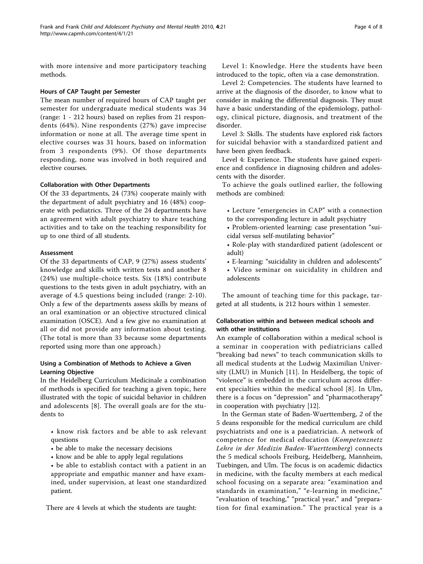with more intensive and more participatory teaching methods.

## Hours of CAP Taught per Semester

The mean number of required hours of CAP taught per semester for undergraduate medical students was 34 (range: 1 - 212 hours) based on replies from 21 respondents (64%). Nine respondents (27%) gave imprecise information or none at all. The average time spent in elective courses was 31 hours, based on information from 3 respondents (9%). Of those departments responding, none was involved in both required and elective courses.

# Collaboration with Other Departments

Of the 33 departments, 24 (73%) cooperate mainly with the department of adult psychiatry and 16 (48%) cooperate with pediatrics. Three of the 24 departments have an agreement with adult psychiatry to share teaching activities and to take on the teaching responsibility for up to one third of all students.

# Assessment

Of the 33 departments of CAP, 9 (27%) assess students' knowledge and skills with written tests and another 8 (24%) use multiple-choice tests. Six (18%) contribute questions to the tests given in adult psychiatry, with an average of 4.5 questions being included (range: 2-10). Only a few of the departments assess skills by means of an oral examination or an objective structured clinical examination (OSCE). And a few give no examination at all or did not provide any information about testing. (The total is more than 33 because some departments reported using more than one approach.)

# Using a Combination of Methods to Achieve a Given Learning Objective

In the Heidelberg Curriculum Medicinale a combination of methods is specified for teaching a given topic, here illustrated with the topic of suicidal behavior in children and adolescents [[8](#page-7-0)]. The overall goals are for the students to

- know risk factors and be able to ask relevant questions
- be able to make the necessary decisions
- know and be able to apply legal regulations
- be able to establish contact with a patient in an appropriate and empathic manner and have examined, under supervision, at least one standardized patient.

There are 4 levels at which the students are taught:

Level 1: Knowledge. Here the students have been introduced to the topic, often via a case demonstration.

Level 2: Competencies. The students have learned to arrive at the diagnosis of the disorder, to know what to consider in making the differential diagnosis. They must have a basic understanding of the epidemiology, pathology, clinical picture, diagnosis, and treatment of the disorder.

Level 3: Skills. The students have explored risk factors for suicidal behavior with a standardized patient and have been given feedback.

Level 4: Experience. The students have gained experience and confidence in diagnosing children and adolescents with the disorder.

To achieve the goals outlined earlier, the following methods are combined:

- Lecture "emergencies in CAP" with a connection to the corresponding lecture in adult psychiatry
- Problem-oriented learning: case presentation "suicidal versus self-mutilating behavior"
- Role-play with standardized patient (adolescent or adult)
- E-learning: "suicidality in children and adolescents"
- Video seminar on suicidality in children and adolescents

The amount of teaching time for this package, targeted at all students, is 212 hours within 1 semester.

# Collaboration within and between medical schools and with other institutions

An example of collaboration within a medical school is a seminar in cooperation with pediatricians called "breaking bad news" to teach communication skills to all medical students at the Ludwig Maximilian University (LMU) in Munich [[11](#page-7-0)]. In Heidelberg, the topic of "violence" is embedded in the curriculum across different specialties within the medical school [\[8](#page-7-0)]. In Ulm, there is a focus on "depression" and "pharmacotherapy" in cooperation with psychiatry [\[12\]](#page-7-0).

In the German state of Baden-Wuerttemberg, 2 of the 5 deans responsible for the medical curriculum are child psychiatrists and one is a paediatrician. A network of competence for medical education (Kompetenznetz Lehre in der Medizin Baden-Wuerttemberg) connects the 5 medical schools Freiburg, Heidelberg, Mannheim, Tuebingen, and Ulm. The focus is on academic didactics in medicine, with the faculty members at each medical school focusing on a separate area: "examination and standards in examination," "e-learning in medicine," "evaluation of teaching," "practical year," and "preparation for final examination." The practical year is a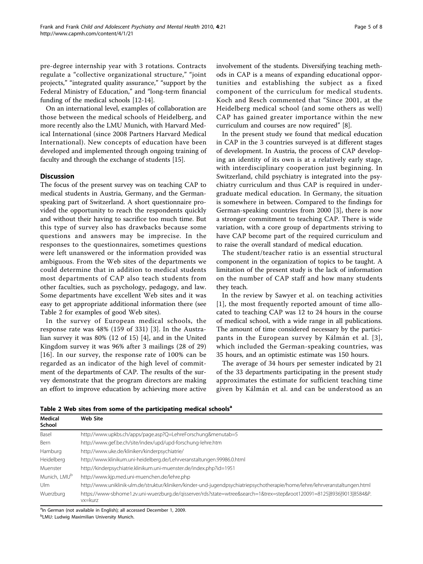pre-degree internship year with 3 rotations. Contracts regulate a "collective organizational structure," "joint projects," "integrated quality assurance," "support by the Federal Ministry of Education," and "long-term financial funding of the medical schools [[12](#page-7-0)-[14\]](#page-7-0).

On an international level, examples of collaboration are those between the medical schools of Heidelberg, and more recently also the LMU Munich, with Harvard Medical International (since 2008 Partners Harvard Medical International). New concepts of education have been developed and implemented through ongoing training of faculty and through the exchange of students [[15\]](#page-7-0).

# **Discussion**

The focus of the present survey was on teaching CAP to medical students in Austria, Germany, and the Germanspeaking part of Switzerland. A short questionnaire provided the opportunity to reach the respondents quickly and without their having to sacrifice too much time. But this type of survey also has drawbacks because some questions and answers may be imprecise. In the responses to the questionnaires, sometimes questions were left unanswered or the information provided was ambiguous. From the Web sites of the departments we could determine that in addition to medical students most departments of CAP also teach students from other faculties, such as psychology, pedagogy, and law. Some departments have excellent Web sites and it was easy to get appropriate additional information there (see Table 2 for examples of good Web sites).

In the survey of European medical schools, the response rate was 48% (159 of 331) [\[3](#page-7-0)]. In the Australian survey it was 80% (12 of 15) [[4\]](#page-7-0), and in the United Kingdom survey it was 96% after 3 mailings (28 of 29) [[16](#page-7-0)]. In our survey, the response rate of 100% can be regarded as an indicator of the high level of commitment of the departments of CAP. The results of the survey demonstrate that the program directors are making an effort to improve education by achieving more active involvement of the students. Diversifying teaching methods in CAP is a means of expanding educational opportunities and establishing the subject as a fixed component of the curriculum for medical students. Koch and Resch commented that "Since 2001, at the Heidelberg medical school (and some others as well) CAP has gained greater importance within the new curriculum and courses are now required" [\[8](#page-7-0)].

In the present study we found that medical education in CAP in the 3 countries surveyed is at different stages of development. In Austria, the process of CAP developing an identity of its own is at a relatively early stage, with interdisciplinary cooperation just beginning. In Switzerland, child psychiatry is integrated into the psychiatry curriculum and thus CAP is required in undergraduate medical education. In Germany, the situation is somewhere in between. Compared to the findings for German-speaking countries from 2000 [[3\]](#page-7-0), there is now a stronger commitment to teaching CAP. There is wide variation, with a core group of departments striving to have CAP become part of the required curriculum and to raise the overall standard of medical education.

The student/teacher ratio is an essential structural component in the organization of topics to be taught. A limitation of the present study is the lack of information on the number of CAP staff and how many students they teach.

In the review by Sawyer et al. on teaching activities [[1](#page-7-0)], the most frequently reported amount of time allocated to teaching CAP was 12 to 24 hours in the course of medical school, with a wide range in all publications. The amount of time considered necessary by the participants in the European survey by Kálmán et al. [[3\]](#page-7-0), which included the German-speaking countries, was 35 hours, and an optimistic estimate was 150 hours.

The average of 34 hours per semester indicated by 21 of the 33 departments participating in the present study approximates the estimate for sufficient teaching time given by Kálmán et al. and can be understood as an

| Table 2 Web sites from some of the participating medical schools <sup>a</sup> |
|-------------------------------------------------------------------------------|
|-------------------------------------------------------------------------------|

| <b>Medical</b><br>School | <b>Web Site</b>                                                                                                                   |
|--------------------------|-----------------------------------------------------------------------------------------------------------------------------------|
| Basel                    | http://www.upkbs.ch/apps/page.asp?Q=LehreForschung&menutab=5                                                                      |
| Bern                     | http://www.gef.be.ch/site/index/upd/upd-forschung-lehre.htm                                                                       |
| Hamburg                  | http://www.uke.de/kliniken/kinderpsychiatrie/                                                                                     |
| Heidelberg               | http://www.klinikum.uni-heidelberg.de/Lehrveranstaltungen.99986.0.html                                                            |
| Muenster                 | http://kinderpsychiatrie.klinikum.uni-muenster.de/index.php?id=1951                                                               |
| Munich, LMU <sup>b</sup> | http://www.kjp.med.uni-muenchen.de/lehre.php                                                                                      |
| Ulm                      | http://www.uniklinik-ulm.de/struktur/kliniken/kinder-und-jugendpsychiatriepsychotherapie/home/lehre/lehrveranstaltungen.html      |
| Wuerzburg                | https://www-sbhome1.zv.uni-wuerzburg.de/gisserver/rds?state=wtree&search=1&trex=step&root120091=8125 8936 9013 8584&P.<br>vx=kurz |

<sup>a</sup>ln German (not available in English); all accessed December 1, 2009.

<sup>b</sup>LMU: Ludwig Maximilian University Munich.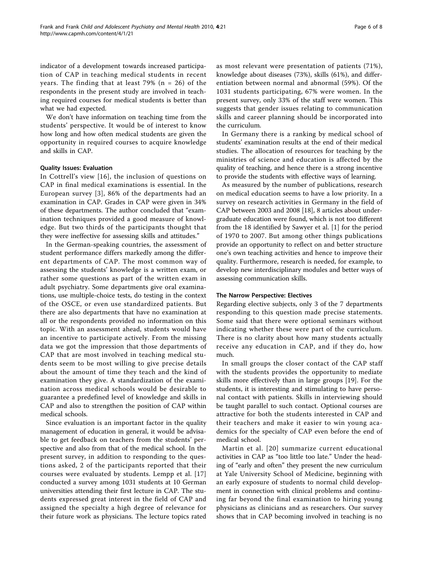indicator of a development towards increased participation of CAP in teaching medical students in recent years. The finding that at least  $79\%$  (n = 26) of the respondents in the present study are involved in teaching required courses for medical students is better than what we had expected.

We don't have information on teaching time from the students' perspective. It would be of interest to know how long and how often medical students are given the opportunity in required courses to acquire knowledge and skills in CAP.

#### Quality Issues: Evaluation

In Cottrell's view [[16](#page-7-0)], the inclusion of questions on CAP in final medical examinations is essential. In the European survey [[3](#page-7-0)], 86% of the departments had an examination in CAP. Grades in CAP were given in 34% of these departments. The author concluded that "examination techniques provided a good measure of knowledge. But two thirds of the participants thought that they were ineffective for assessing skills and attitudes."

In the German-speaking countries, the assessment of student performance differs markedly among the different departments of CAP. The most common way of assessing the students' knowledge is a written exam, or rather some questions as part of the written exam in adult psychiatry. Some departments give oral examinations, use multiple-choice tests, do testing in the context of the OSCE, or even use standardized patients. But there are also departments that have no examination at all or the respondents provided no information on this topic. With an assessment ahead, students would have an incentive to participate actively. From the missing data we got the impression that those departments of CAP that are most involved in teaching medical students seem to be most willing to give precise details about the amount of time they teach and the kind of examination they give. A standardization of the examination across medical schools would be desirable to guarantee a predefined level of knowledge and skills in CAP and also to strengthen the position of CAP within medical schools.

Since evaluation is an important factor in the quality management of education in general, it would be advisable to get feedback on teachers from the students' perspective and also from that of the medical school. In the present survey, in addition to responding to the questions asked, 2 of the participants reported that their courses were evaluated by students. Lempp et al. [[17](#page-7-0)] conducted a survey among 1031 students at 10 German universities attending their first lecture in CAP. The students expressed great interest in the field of CAP and assigned the specialty a high degree of relevance for their future work as physicians. The lecture topics rated as most relevant were presentation of patients (71%), knowledge about diseases (73%), skills (61%), and differentiation between normal and abnormal (59%). Of the 1031 students participating, 67% were women. In the present survey, only 33% of the staff were women. This suggests that gender issues relating to communication skills and career planning should be incorporated into the curriculum.

In Germany there is a ranking by medical school of students' examination results at the end of their medical studies. The allocation of resources for teaching by the ministries of science and education is affected by the quality of teaching, and hence there is a strong incentive to provide the students with effective ways of learning.

As measured by the number of publications, research on medical education seems to have a low priority. In a survey on research activities in Germany in the field of CAP between 2003 and 2008 [\[18](#page-7-0)], 8 articles about undergraduate education were found, which is not too different from the 18 identified by Sawyer et al. [[1\]](#page-7-0) for the period of 1970 to 2007. But among other things publications provide an opportunity to reflect on and better structure one's own teaching activities and hence to improve their quality. Furthermore, research is needed, for example, to develop new interdisciplinary modules and better ways of assessing communication skills.

#### The Narrow Perspective: Electives

Regarding elective subjects, only 3 of the 7 departments responding to this question made precise statements. Some said that there were optional seminars without indicating whether these were part of the curriculum. There is no clarity about how many students actually receive any education in CAP, and if they do, how much.

In small groups the closer contact of the CAP staff with the students provides the opportunity to mediate skills more effectively than in large groups [\[19](#page-7-0)]. For the students, it is interesting and stimulating to have personal contact with patients. Skills in interviewing should be taught parallel to such contact. Optional courses are attractive for both the students interested in CAP and their teachers and make it easier to win young academics for the specialty of CAP even before the end of medical school.

Martin et al. [[20](#page-7-0)] summarize current educational activities in CAP as "too little too late." Under the heading of "early and often" they present the new curriculum at Yale University School of Medicine, beginning with an early exposure of students to normal child development in connection with clinical problems and continuing far beyond the final examination to hiring young physicians as clinicians and as researchers. Our survey shows that in CAP becoming involved in teaching is no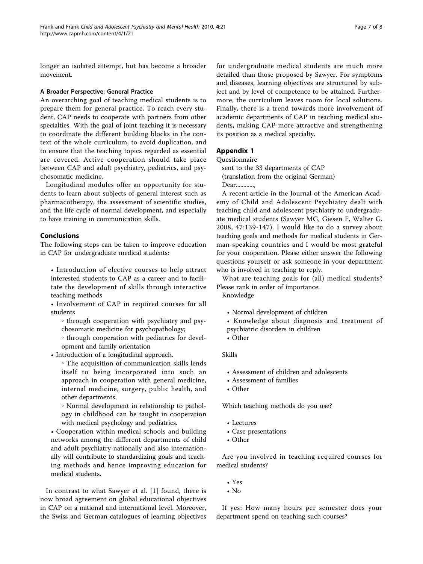longer an isolated attempt, but has become a broader movement.

#### A Broader Perspective: General Practice

An overarching goal of teaching medical students is to prepare them for general practice. To reach every student, CAP needs to cooperate with partners from other specialties. With the goal of joint teaching it is necessary to coordinate the different building blocks in the context of the whole curriculum, to avoid duplication, and to ensure that the teaching topics regarded as essential are covered. Active cooperation should take place between CAP and adult psychiatry, pediatrics, and psychosomatic medicine.

Longitudinal modules offer an opportunity for students to learn about subjects of general interest such as pharmacotherapy, the assessment of scientific studies, and the life cycle of normal development, and especially to have training in communication skills.

# Conclusions

The following steps can be taken to improve education in CAP for undergraduate medical students:

- Introduction of elective courses to help attract interested students to CAP as a career and to facilitate the development of skills through interactive teaching methods
- Involvement of CAP in required courses for all students
	- through cooperation with psychiatry and psychosomatic medicine for psychopathology;
	- through cooperation with pediatrics for development and family orientation
- Introduction of a longitudinal approach.

◦ The acquisition of communication skills lends itself to being incorporated into such an approach in cooperation with general medicine, internal medicine, surgery, public health, and other departments.

◦ Normal development in relationship to pathology in childhood can be taught in cooperation with medical psychology and pediatrics.

• Cooperation within medical schools and building networks among the different departments of child and adult psychiatry nationally and also internationally will contribute to standardizing goals and teaching methods and hence improving education for medical students.

In contrast to what Sawyer et al. [[1](#page-7-0)] found, there is now broad agreement on global educational objectives in CAP on a national and international level. Moreover, the Swiss and German catalogues of learning objectives for undergraduate medical students are much more detailed than those proposed by Sawyer. For symptoms and diseases, learning objectives are structured by subject and by level of competence to be attained. Furthermore, the curriculum leaves room for local solutions. Finally, there is a trend towards more involvement of academic departments of CAP in teaching medical students, making CAP more attractive and strengthening its position as a medical specialty.

# Appendix 1

Questionnaire

sent to the 33 departments of CAP (translation from the original German) Dear............,

A recent article in the Journal of the American Academy of Child and Adolescent Psychiatry dealt with teaching child and adolescent psychiatry to undergraduate medical students (Sawyer MG, Giesen F, Walter G. 2008, 47:139-147). I would like to do a survey about teaching goals and methods for medical students in German-speaking countries and I would be most grateful for your cooperation. Please either answer the following questions yourself or ask someone in your department who is involved in teaching to reply.

What are teaching goals for (all) medical students? Please rank in order of importance.

Knowledge

- Normal development of children
- Knowledge about diagnosis and treatment of
- psychiatric disorders in children
- Other

Skills

- Assessment of children and adolescents
- Assessment of families
- Other

Which teaching methods do you use?

- Lectures
- Case presentations
- Other

Are you involved in teaching required courses for medical students?

- Yes
- No

If yes: How many hours per semester does your department spend on teaching such courses?